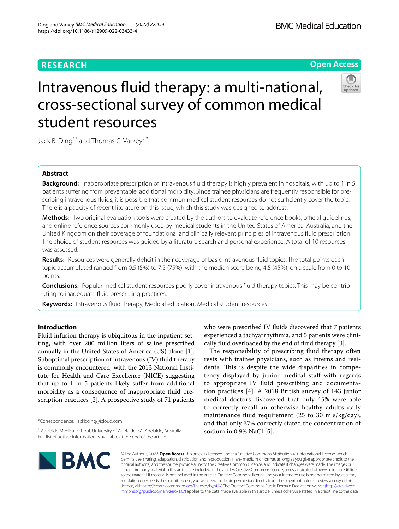# **RESEARCH**

# **Open Access**



# Intravenous fuid therapy: a multi-national, cross-sectional survey of common medical student resources

Jack B. Ding<sup>1\*</sup> and Thomas C. Varkey<sup>2,3</sup>

# **Abstract**

**Background:** Inappropriate prescription of intravenous fluid therapy is highly prevalent in hospitals, with up to 1 in 5 patients sufering from preventable, additional morbidity. Since trainee physicians are frequently responsible for prescribing intravenous fluids, it is possible that common medical student resources do not sufficiently cover the topic. There is a paucity of recent literature on this issue, which this study was designed to address.

**Methods:** Two original evaluation tools were created by the authors to evaluate reference books, official guidelines, and online reference sources commonly used by medical students in the United States of America, Australia, and the United Kingdom on their coverage of foundational and clinically relevant principles of intravenous fuid prescription. The choice of student resources was guided by a literature search and personal experience. A total of 10 resources was assessed.

**Results:** Resources were generally defcit in their coverage of basic intravenous fuid topics. The total points each topic accumulated ranged from 0.5 (5%) to 7.5 (75%), with the median score being 4.5 (45%), on a scale from 0 to 10 points.

**Conclusions:** Popular medical student resources poorly cover intravenous fuid therapy topics. This may be contributing to inadequate fuid prescribing practices.

**Keywords:** Intravenous fuid therapy, Medical education, Medical student resources

# **Introduction**

Fluid infusion therapy is ubiquitous in the inpatient setting, with over 200 million liters of saline prescribed annually in the United States of America (US) alone [\[1](#page-4-0)]. Suboptimal prescription of intravenous (IV) fuid therapy is commonly encountered, with the 2013 National Institute for Health and Care Excellence (NICE) suggesting that up to 1 in 5 patients likely sufer from additional morbidity as a consequence of inappropriate fuid prescription practices  $[2]$ . A prospective study of 71 patients

\*Correspondence: jackbding@icloud.com

who were prescribed IV fluids discovered that 7 patients experienced a tachyarrhythmia, and 5 patients were clinically fuid overloaded by the end of fuid therapy [[3\]](#page-4-2).

The responsibility of prescribing fluid therapy often rests with trainee physicians, such as interns and residents. This is despite the wide disparities in competency displayed by junior medical staff with regards to appropriate IV fuid prescribing and documentation practices [[4](#page-4-3)]. A 2018 British survey of 143 junior medical doctors discovered that only 45% were able to correctly recall an otherwise healthy adult's daily maintenance fuid requirement (25 to 30 mls/kg/day), and that only 37% correctly stated the concentration of sodium in  $0.9\%$  NaCl [[5\]](#page-4-4).



© The Author(s) 2022. **Open Access** This article is licensed under a Creative Commons Attribution 4.0 International License, which permits use, sharing, adaptation, distribution and reproduction in any medium or format, as long as you give appropriate credit to the original author(s) and the source, provide a link to the Creative Commons licence, and indicate if changes were made. The images or other third party material in this article are included in the article's Creative Commons licence, unless indicated otherwise in a credit line to the material. If material is not included in the article's Creative Commons licence and your intended use is not permitted by statutory regulation or exceeds the permitted use, you will need to obtain permission directly from the copyright holder. To view a copy of this licence, visit [http://creativecommons.org/licenses/by/4.0/.](http://creativecommons.org/licenses/by/4.0/) The Creative Commons Public Domain Dedication waiver ([http://creativeco](http://creativecommons.org/publicdomain/zero/1.0/) [mmons.org/publicdomain/zero/1.0/](http://creativecommons.org/publicdomain/zero/1.0/)) applies to the data made available in this article, unless otherwise stated in a credit line to the data.

<sup>&</sup>lt;sup>1</sup> Adelaide Medical School, University of Adelaide, SA, Adelaide, Australia Full list of author information is available at the end of the article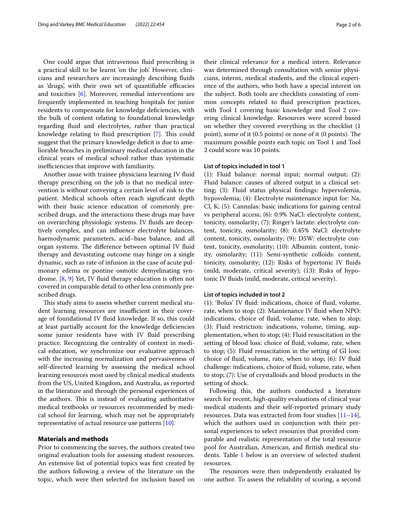One could argue that intravenous fuid prescribing is a practical skill to be learnt 'on the job'. However, clinicians and researchers are increasingly describing fuids as 'drugs', with their own set of quantifiable efficacies and toxicities [[6\]](#page-4-5). Moreover, remedial interventions are frequently implemented in teaching hospitals for junior residents to compensate for knowledge defciencies, with the bulk of content relating to foundational knowledge regarding fuid and electrolytes, rather than practical knowledge relating to fluid prescription [\[7](#page-4-6)]. This could suggest that the primary knowledge deficit is due to ameliorable breaches in preliminary medical education in the clinical years of medical school rather than systematic inefficiencies that improve with familiarity.

Another issue with trainee physicians learning IV fuid therapy prescribing on the job is that no medical intervention is without conveying a certain level of risk to the patient. Medical schools often reach signifcant depth with their basic science education of commonly prescribed drugs, and the interactions these drugs may have on overarching physiologic systems. IV fuids are deceptively complex, and can infuence electrolyte balances, haemodynamic parameters, acid–base balance, and all organ systems. The difference between optimal IV fluid therapy and devastating outcome may hinge on a single dynamic, such as rate of infusion in the case of acute pulmonary edema or pontine osmotic demyelinating syndrome. [[8,](#page-4-7) [9\]](#page-4-8) Yet, IV fuid therapy education is often not covered in comparable detail to other less commonly prescribed drugs.

This study aims to assess whether current medical student learning resources are insufficient in their coverage of foundational IV fuid knowledge. If so, this could at least partially account for the knowledge defciencies some junior residents have with IV fluid prescribing practice. Recognizing the centrality of context in medical education, we synchronize our evaluative approach with the increasing normalization and pervasiveness of self-directed learning by assessing the medical school learning resources most used by clinical medical students from the US, United Kingdom, and Australia, as reported in the literature and through the personal experiences of the authors. This is instead of evaluating authoritative medical textbooks or resources recommended by medical school for learning, which may not be appropriately representative of actual resource use patterns [[10](#page-5-0)].

# **Materials and methods**

Prior to commencing the survey, the authors created two original evaluation tools for assessing student resources. An extensive list of potential topics was frst created by the authors following a review of the literature on the topic, which were then selected for inclusion based on

their clinical relevance for a medical intern. Relevance was determined through consultation with senior physicians, interns, medical students, and the clinical experience of the authors, who both have a special interest on the subject. Both tools are checklists consisting of common concepts related to fuid prescription practices, with Tool 1 covering basic knowledge and Tool 2 covering clinical knowledge. Resources were scored based on whether they covered everything in the checklist (1 point), some of it (0.5 points) or none of it (0 points). The maximum possible points each topic on Tool 1 and Tool 2 could score was 10 points.

# **List of topics included in tool 1**

(1): Fluid balance: normal input; normal output; (2): Fluid balance: causes of altered output in a clinical setting; (3): Fluid status physical fndings: hypervolemia, hypovolemia; (4): Electrolyte maintenance input for: Na, Cl, K; (5): Cannulas: basic indications for gaining central vs peripheral access; (6): 0.9% NaCl: electrolyte content, tonicity, osmolarity; (7): Ringer's lactate: electrolyte content, tonicity, osmolarity; (8): 0.45% NaCl: electrolyte content, tonicity, osmolarity; (9): D5W: electrolyte content, tonicity, osmolarity; (10): Albumin: content, tonicity, osmolarity; (11): Semi-synthetic colloids: content, tonicity, osmolarity; (12): Risks of hypertonic IV fuids (mild, moderate, critical severity); (13): Risks of hypotonic IV fuids (mild, moderate, critical severity).

# **List of topics included in tool 2**

(1): 'Bolus' IV fuid: indications, choice of fuid, volume, rate, when to stop; (2): Maintenance IV fluid when NPO: indications, choice of fuid, volume, rate, when to stop; (3): Fluid restriction: indications, volume, timing, supplementation, when to stop; (4): Fluid resuscitation in the setting of blood loss: choice of fuid, volume, rate, when to stop; (5): Fluid resuscitation in the setting of GI loss: choice of fuid, volume, rate, when to stop; (6): IV fuid challenge: indications, choice of fuid, volume, rate, when to stop; (7): Use of crystalloids and blood products in the setting of shock.

Following this, the authors conducted a literature search for recent, high-quality evaluations of clinical year medical students and their self-reported primary study resources. Data was extracted from four studies  $[11-14]$  $[11-14]$  $[11-14]$ , which the authors used in conjunction with their personal experiences to select resources that provided comparable and realistic representation of the total resource pool for Australian, American, and British medical stu-dents. Table [1](#page-2-0) below is an overview of selected student resources.

The resources were then independently evaluated by one author. To assess the reliability of scoring, a second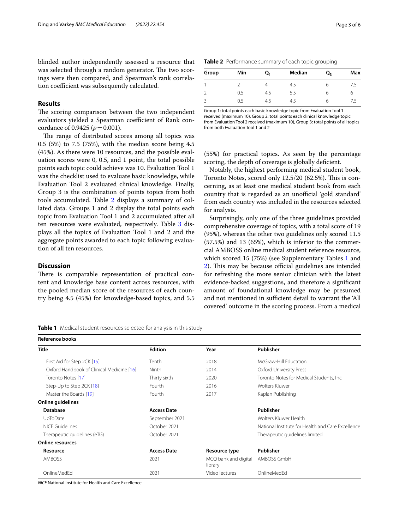blinded author independently assessed a resource that was selected through a random generator. The two scorings were then compared, and Spearman's rank correlation coefficient was subsequently calculated.

# **Results**

The scoring comparison between the two independent evaluators yielded a Spearman coefficient of Rank concordance of 0.9425 ( $p = 0.001$ ).

The range of distributed scores among all topics was 0.5 (5%) to 7.5 (75%), with the median score being 4.5 (45%). As there were 10 resources, and the possible evaluation scores were 0, 0.5, and 1 point, the total possible points each topic could achieve was 10. Evaluation Tool 1 was the checklist used to evaluate basic knowledge, while Evaluation Tool 2 evaluated clinical knowledge. Finally, Group 3 is the combination of points topics from both tools accumulated. Table [2](#page-2-1) displays a summary of collated data. Groups 1 and 2 display the total points each topic from Evaluation Tool 1 and 2 accumulated after all ten resources were evaluated, respectively. Table [3](#page-3-0) displays all the topics of Evaluation Tool 1 and 2 and the aggregate points awarded to each topic following evaluation of all ten resources.

# **Discussion**

There is comparable representation of practical content and knowledge base content across resources, with the pooled median score of the resources of each country being 4.5 (45%) for knowledge-based topics, and 5.5

<span id="page-2-1"></span>**Table 2** Performance summary of each topic grouping

| Group | Min | Q,  | <b>Median</b> | $Q_{3}$ | Max |  |
|-------|-----|-----|---------------|---------|-----|--|
|       |     |     | 4.5           | h       | 7.5 |  |
|       | 0.5 | 4.5 | 5.5           | h       | о   |  |
|       | 0.5 | 4.5 | 4.5           | h       |     |  |

Group 1: total points each basic knowledge topic from Evaluation Tool 1 received (maximum 10), Group 2: total points each clinical knowledge topic from Evaluation Tool 2 received (maximum 10), Group 3: total points of all topics from both Evaluation Tool 1 and 2

(55%) for practical topics. As seen by the percentage scoring, the depth of coverage is globally deficient.

Notably, the highest performing medical student book, Toronto Notes, scored only 12.5/20 (62.5%). This is concerning, as at least one medical student book from each country that is regarded as an unofficial 'gold standard' from each country was included in the resources selected for analysis.

Surprisingly, only one of the three guidelines provided comprehensive coverage of topics, with a total score of 19 (95%), whereas the other two guidelines only scored 11.5 (57.5%) and 13 (65%), which is inferior to the commercial AMBOSS online medical student reference resource, which scored 15 (75%) (see Supplementary Tables [1](#page-4-9) and [2\)](#page-4-9). This may be because official guidelines are intended for refreshing the more senior clinician with the latest evidence-backed suggestions, and therefore a signifcant amount of foundational knowledge may be presumed and not mentioned in sufficient detail to warrant the 'All covered' outcome in the scoring process. From a medical

<span id="page-2-0"></span>**Table 1** Medical student resources selected for analysis in this study

| Reference books                           |                    |                                 |                                                   |  |  |  |
|-------------------------------------------|--------------------|---------------------------------|---------------------------------------------------|--|--|--|
| Title                                     | <b>Edition</b>     | Year                            | Publisher                                         |  |  |  |
| First Aid for Step 2CK [15]               | Tenth              | 2018                            | McGraw-Hill Education                             |  |  |  |
| Oxford Handbook of Clinical Medicine [16] | <b>Ninth</b>       | 2014                            | Oxford University Press                           |  |  |  |
| Toronto Notes [17]                        | Thirty sixth       | 2020                            | Toronto Notes for Medical Students, Inc.          |  |  |  |
| Step-Up to Step 2CK [18]                  | Fourth             | 2016                            | Wolters Kluwer                                    |  |  |  |
| Master the Boards [19]                    | Fourth             | 2017                            | Kaplan Publishing                                 |  |  |  |
| Online guidelines                         |                    |                                 |                                                   |  |  |  |
| <b>Database</b>                           | <b>Access Date</b> |                                 | Publisher                                         |  |  |  |
| UpToDate                                  | September 2021     |                                 | Wolters Kluwer Health                             |  |  |  |
| <b>NICE Guidelines</b>                    | October 2021       |                                 | National Institute for Health and Care Excellence |  |  |  |
| Therapeutic quidelines (eTG)              | October 2021       |                                 | Therapeutic guidelines limited                    |  |  |  |
| <b>Online resources</b>                   |                    |                                 |                                                   |  |  |  |
| Resource                                  | <b>Access Date</b> | Resource type                   | Publisher                                         |  |  |  |
| AMBOSS                                    | 2021               | MCQ bank and digital<br>library | AMBOSS GmbH                                       |  |  |  |
| OnlineMedEd                               | 2021               | Video lectures                  | OnlineMedEd                                       |  |  |  |

*NICE* National Institute for Health and Care Excellence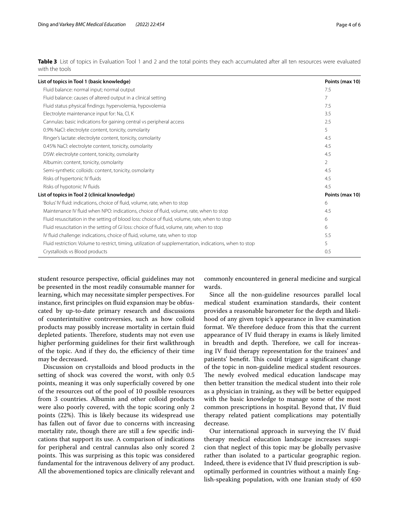<span id="page-3-0"></span>**Table 3** List of topics in Evaluation Tool 1 and 2 and the total points they each accumulated after all ten resources were evaluated with the tools

| List of topics in Tool 1 (basic knowledge)                                                               | Points (max 10) |
|----------------------------------------------------------------------------------------------------------|-----------------|
| Fluid balance: normal input; normal output                                                               | 7.5             |
| Fluid balance: causes of altered output in a clinical setting                                            | 7               |
| Fluid status physical findings: hypervolemia, hypovolemia                                                | 7.5             |
| Electrolyte maintenance input for: Na, Cl, K                                                             | 3.5             |
| Cannulas: basic indications for gaining central vs peripheral access                                     | 2.5             |
| 0.9% NaCl: electrolyte content, tonicity, osmolarity                                                     | 5               |
| Ringer's lactate: electrolyte content, tonicity, osmolarity                                              | 4.5             |
| 0.45% NaCl: electrolyte content, tonicity, osmolarity                                                    | 4.5             |
| D5W: electrolyte content, tonicity, osmolarity                                                           | 4.5             |
| Albumin: content, tonicity, osmolarity                                                                   | 2               |
| Semi-synthetic colloids: content, tonicity, osmolarity                                                   | 4.5             |
| Risks of hypertonic IV fluids                                                                            | 4.5             |
| Risks of hypotonic IV fluids                                                                             | 4.5             |
| List of topics in Tool 2 (clinical knowledge)                                                            | Points (max 10) |
| 'Bolus' IV fluid: indications, choice of fluid, volume, rate, when to stop                               | 6               |
| Maintenance IV fluid when NPO: indications, choice of fluid, volume, rate, when to stop                  | 4.5             |
| Fluid resuscitation in the setting of blood loss: choice of fluid, volume, rate, when to stop            | 6               |
| Fluid resuscitation in the setting of GI loss: choice of fluid, volume, rate, when to stop               | 6               |
| IV fluid challenge: indications, choice of fluid, volume, rate, when to stop                             | 5.5             |
| Fluid restriction: Volume to restrict, timing, utilization of supplementation, indications, when to stop | 5               |
| Crystalloids vs Blood products                                                                           | 0.5             |

student resource perspective, official guidelines may not be presented in the most readily consumable manner for learning, which may necessitate simpler perspectives. For instance, frst principles on fuid expansion may be obfuscated by up-to-date primary research and discussions of counterintuitive controversies, such as how colloid products may possibly increase mortality in certain fuid depleted patients. Therefore, students may not even use higher performing guidelines for their frst walkthrough of the topic. And if they do, the efficiency of their time may be decreased.

Discussion on crystalloids and blood products in the setting of shock was covered the worst, with only 0.5 points, meaning it was only superficially covered by one of the resources out of the pool of 10 possible resources from 3 countries. Albumin and other colloid products were also poorly covered, with the topic scoring only 2 points (22%). This is likely because its widespread use has fallen out of favor due to concerns with increasing mortality rate, though there are still a few specifc indications that support its use. A comparison of indications for peripheral and central cannulas also only scored 2 points. This was surprising as this topic was considered fundamental for the intravenous delivery of any product. All the abovementioned topics are clinically relevant and commonly encountered in general medicine and surgical wards.

Since all the non-guideline resources parallel local medical student examination standards, their content provides a reasonable barometer for the depth and likelihood of any given topic's appearance in live examination format. We therefore deduce from this that the current appearance of IV fuid therapy in exams is likely limited in breadth and depth. Therefore, we call for increasing IV fuid therapy representation for the trainees' and patients' benefit. This could trigger a significant change of the topic in non-guideline medical student resources. The newly evolved medical education landscape may then better transition the medical student into their role as a physician in training, as they will be better equipped with the basic knowledge to manage some of the most common prescriptions in hospital. Beyond that, IV fuid therapy related patient complications may potentially decrease.

Our international approach in surveying the IV fuid therapy medical education landscape increases suspicion that neglect of this topic may be globally pervasive rather than isolated to a particular geographic region. Indeed, there is evidence that IV fuid prescription is suboptimally performed in countries without a mainly English-speaking population, with one Iranian study of 450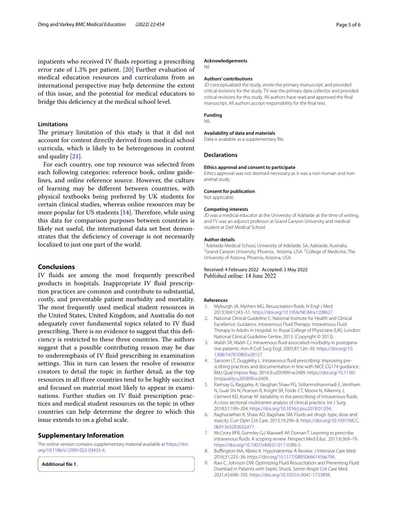inpatients who received IV fuids reporting a prescribing error rate of 1.3% per patient. [[20\]](#page-5-8) Further evaluation of medical education resources and curriculums from an international perspective may help determine the extent of this issue, and the potential for medical educators to bridge this defciency at the medical school level.

### **Limitations**

The primary limitation of this study is that it did not account for content directly derived from medical school curricula, which is likely to be heterogenous in content and quality [[21\]](#page-5-9).

For each country, one top resource was selected from each following categories: reference book, online guidelines, and online reference source. However, the culture of learning may be diferent between countries, with physical textbooks being preferred by UK students for certain clinical studies, whereas online resources may be more popular for US students  $[14]$  $[14]$ . Therefore, while using this data for comparison purposes between countries is likely not useful, the international data set best demonstrates that the defciency of coverage is not necessarily localized to just one part of the world.

## **Conclusions**

IV fuids are among the most frequently prescribed products in hospitals. Inappropriate IV fuid prescription practices are common and contribute to substantial, costly, and preventable patient morbidity and mortality. The most frequently used medical student resources in the United States, United Kingdom, and Australia do not adequately cover fundamental topics related to IV fuid prescribing. There is no evidence to suggest that this deficiency is restricted to these three countries. The authors suggest that a possible contributing reason may be due to underemphasis of IV fuid prescribing in examination settings. This in turn can lessen the resolve of resource creators to detail the topic in further detail, as the top resources in all three countries tend to be highly succinct and focused on material most likely to appear in examinations. Further studies on IV fluid prescription practices and medical student resources on the topic in other countries can help determine the degree to which this issue extends to on a global scale.

# **Supplementary Information**

The online version contains supplementary material available at [https://doi.](https://doi.org/10.1186/s12909-022-03433-4) [org/10.1186/s12909-022-03433-4](https://doi.org/10.1186/s12909-022-03433-4).

<span id="page-4-9"></span>**Additional fle 1.**

#### **Acknowledgements**

Nil

#### **Authors' contributions**

JD conceptualized the study, wrote the primary manuscript, and provided critical revisions for the study. TV was the primary data collector and provided critical revisions for this study. All authors have read and approved the fnal manuscript. All authors accept responsibility for the fnal text.

# **Funding**

Nil.

#### **Availability of data and materials**

Data is available as a supplementary fle.

#### **Declarations**

#### **Ethics approval and consent to participate**

Ethics approval was not deemed necessary as it was a non-human and nonanimal study.

#### **Consent for publication**

Not applicable.

#### **Competing interests**

JD was a medical educator at the University of Adelaide at the time of writing, and TV was an adjunct professor at Grand Canyon University and medical student at Dell Medical School.

#### **Author details**

<sup>1</sup> Adelaide Medical School, University of Adelaide, SA, Adelaide, Australia.<br><sup>2</sup> Crand Canvon University, Phoenix, Arizona, USA, <sup>3</sup> Colloge of Medicine. Grand Canyon University, Phoenix, Arizona, USA.<sup>3</sup> College of Medicine, The University of Arizona, Phoenix, Arizona, USA.

## Received: 4 February 2022 Accepted: 3 May 2022 Published online: 14 June 2022

#### **References**

- <span id="page-4-0"></span>1. Myburgh JA, Mythen MG. Resuscitation fuids. N Engl J Med. 2013;369:1243–51. [https://doi.org/10.1056/NEJMra1208627.](https://doi.org/10.1056/NEJMra1208627)
- <span id="page-4-1"></span>2. National Clinical Guideline C: National Institute for Health and Clinical Excellence: Guidance. Intravenous Fluid Therapy: Intravenous Fluid Therapy in Adults in Hospital. In: Royal College of Physicians (UK). London: National Clinical Guideline Centre; 2013. (Copyright © 2013).
- <span id="page-4-2"></span>3. Walsh SR, Walsh CJ. Intravenous fuid-associated morbidity in postoperative patients. Ann R Coll Surg Engl. 2005;87:126–30. [https://doi.org/10.](https://doi.org/10.1308/147870805x28127) [1308/147870805x28127](https://doi.org/10.1308/147870805x28127).
- <span id="page-4-3"></span>4. Sansom LT, Duggleby L. Intravenous fuid prescribing: Improving prescribing practices and documentation in line with NICE CG174 guidance. BMJ Qual Improv Rep. 2014;3:u205899-w2409. [https://doi.org/10.1136/](https://doi.org/10.1136/bmjquality.u205899.w2409) [bmjquality.u205899.w2409](https://doi.org/10.1136/bmjquality.u205899.w2409).
- <span id="page-4-4"></span>5. Ramsay G, Baggaley A, Vaughan Shaw PG, Soltanmohammadi E, Ventham N, Guat Shi N, Pearson R, Knight SR, Forde CT, Moore N, Kilkenny J, Clement KD, Kumar M. Variability in the prescribing of intravenous fuids: A cross sectional multicentre analysis of clinical practice. Int J Surg. 2018;51:199–204. <https://doi.org/10.1016/j.ijsu.2018.01.034>.
- <span id="page-4-5"></span>6. Raghunathan K, Shaw AD, Bagshaw SM. Fluids are drugs: type, dose and toxicity. Curr Opin Crit Care. 2013;19:290–8. [https://doi.org/10.1097/MCC.](https://doi.org/10.1097/MCC.0b013e3283632d77) [0b013e3283632d77](https://doi.org/10.1097/MCC.0b013e3283632d77).
- <span id="page-4-6"></span>7. McCrory RFR, Gormley GJ, Maxwell AP, Dornan T. Learning to prescribe intravenous fuids: A scoping review. Perspect Med Educ. 2017;6:369–79. [https://doi.org/10.1007/s40037-017-0386-5.](https://doi.org/10.1007/s40037-017-0386-5)
- <span id="page-4-7"></span>8. Bufngton MA, Abreo K. Hyponatremia: A Review. J Intensive Care Med. 2016;31:223–36. [https://doi.org/10.1177/0885066614566794.](https://doi.org/10.1177/0885066614566794)
- <span id="page-4-8"></span>9. Ravi C, Johnson DW. Optimizing Fluid Resuscitation and Preventing Fluid Overload in Patients with Septic Shock. Semin Respir Crit Care Med. 2021;42:698–705. <https://doi.org/10.1055/s-0041-1733898>.